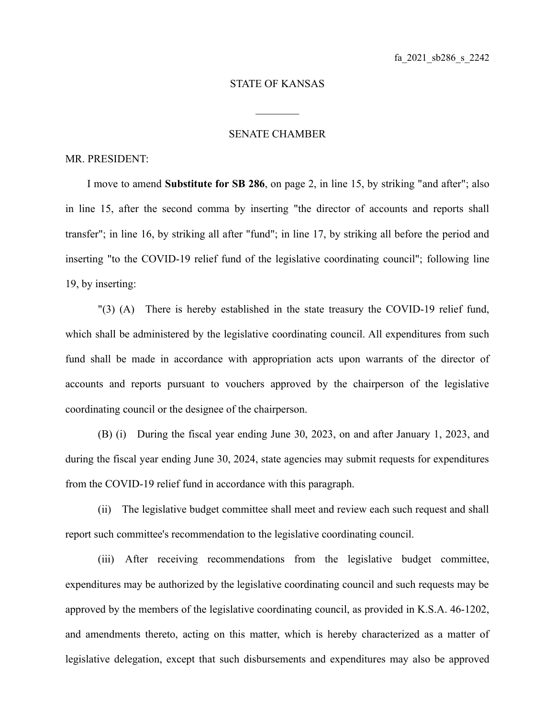## STATE OF KANSAS

 $\mathcal{L}_\text{max}$ 

## SENATE CHAMBER

## MR. PRESIDENT:

I move to amend **Substitute for SB 286**, on page 2, in line 15, by striking "and after"; also in line 15, after the second comma by inserting "the director of accounts and reports shall transfer"; in line 16, by striking all after "fund"; in line 17, by striking all before the period and inserting "to the COVID-19 relief fund of the legislative coordinating council"; following line 19, by inserting:

"(3) (A) There is hereby established in the state treasury the COVID-19 relief fund, which shall be administered by the legislative coordinating council. All expenditures from such fund shall be made in accordance with appropriation acts upon warrants of the director of accounts and reports pursuant to vouchers approved by the chairperson of the legislative coordinating council or the designee of the chairperson.

(B) (i) During the fiscal year ending June 30, 2023, on and after January 1, 2023, and during the fiscal year ending June 30, 2024, state agencies may submit requests for expenditures from the COVID-19 relief fund in accordance with this paragraph.

(ii) The legislative budget committee shall meet and review each such request and shall report such committee's recommendation to the legislative coordinating council.

(iii) After receiving recommendations from the legislative budget committee, expenditures may be authorized by the legislative coordinating council and such requests may be approved by the members of the legislative coordinating council, as provided in K.S.A. 46-1202, and amendments thereto, acting on this matter, which is hereby characterized as a matter of legislative delegation, except that such disbursements and expenditures may also be approved